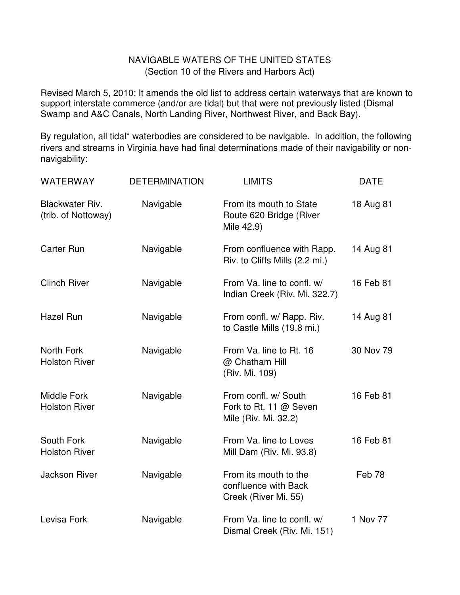## NAVIGABLE WATERS OF THE UNITED STATES (Section 10 of the Rivers and Harbors Act)

Revised March 5, 2010: It amends the old list to address certain waterways that are known to support interstate commerce (and/or are tidal) but that were not previously listed (Dismal Swamp and A&C Canals, North Landing River, Northwest River, and Back Bay).

By regulation, all tidal\* waterbodies are considered to be navigable. In addition, the following rivers and streams in Virginia have had final determinations made of their navigability or nonnavigability:

| WATERWAY                                      | <b>DETERMINATION</b> | <b>LIMITS</b>                                                          | <b>DATE</b> |
|-----------------------------------------------|----------------------|------------------------------------------------------------------------|-------------|
| <b>Blackwater Riv.</b><br>(trib. of Nottoway) | Navigable            | From its mouth to State<br>Route 620 Bridge (River<br>Mile 42.9)       | 18 Aug 81   |
| <b>Carter Run</b>                             | Navigable            | From confluence with Rapp.<br>Riv. to Cliffs Mills (2.2 mi.)           | 14 Aug 81   |
| <b>Clinch River</b>                           | Navigable            | From Va. line to confl. w/<br>Indian Creek (Riv. Mi. 322.7)            | 16 Feb 81   |
| <b>Hazel Run</b>                              | Navigable            | From confl. w/ Rapp. Riv.<br>to Castle Mills (19.8 mi.)                | 14 Aug 81   |
| North Fork<br><b>Holston River</b>            | Navigable            | From Va. line to Rt. 16<br>@ Chatham Hill<br>(Riv. Mi. 109)            | 30 Nov 79   |
| <b>Middle Fork</b><br><b>Holston River</b>    | Navigable            | From confl. w/ South<br>Fork to Rt. 11 @ Seven<br>Mile (Riv. Mi. 32.2) | 16 Feb 81   |
| South Fork<br><b>Holston River</b>            | Navigable            | From Va. line to Loves<br>Mill Dam (Riv. Mi. 93.8)                     | 16 Feb 81   |
| <b>Jackson River</b>                          | Navigable            | From its mouth to the<br>confluence with Back<br>Creek (River Mi. 55)  | Feb 78      |
| Levisa Fork                                   | Navigable            | From Va. line to confl. w/<br>Dismal Creek (Riv. Mi. 151)              | 1 Nov 77    |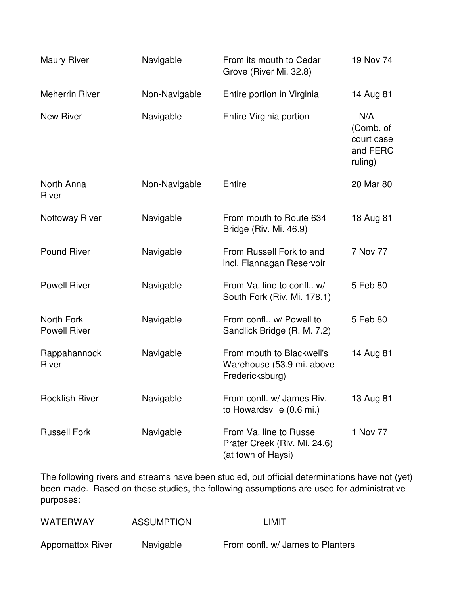| <b>Maury River</b>                | Navigable     | From its mouth to Cedar<br>Grove (River Mi. 32.8)                              | 19 Nov 74                                             |
|-----------------------------------|---------------|--------------------------------------------------------------------------------|-------------------------------------------------------|
| <b>Meherrin River</b>             | Non-Navigable | Entire portion in Virginia                                                     | 14 Aug 81                                             |
| <b>New River</b>                  | Navigable     | Entire Virginia portion                                                        | N/A<br>(Comb. of<br>court case<br>and FERC<br>ruling) |
| North Anna<br>River               | Non-Navigable | Entire                                                                         | 20 Mar 80                                             |
| <b>Nottoway River</b>             | Navigable     | From mouth to Route 634<br>Bridge (Riv. Mi. 46.9)                              | 18 Aug 81                                             |
| <b>Pound River</b>                | Navigable     | From Russell Fork to and<br>incl. Flannagan Reservoir                          | 7 Nov 77                                              |
| <b>Powell River</b>               | Navigable     | From Va. line to confl w/<br>South Fork (Riv. Mi. 178.1)                       | 5 Feb 80                                              |
| North Fork<br><b>Powell River</b> | Navigable     | From confl w/ Powell to<br>Sandlick Bridge (R. M. 7.2)                         | 5 Feb 80                                              |
| Rappahannock<br><b>River</b>      | Navigable     | From mouth to Blackwell's<br>Warehouse (53.9 mi. above<br>Fredericksburg)      | 14 Aug 81                                             |
| <b>Rockfish River</b>             | Navigable     | From confl. w/ James Riv.<br>to Howardsville (0.6 mi.)                         | 13 Aug 81                                             |
| <b>Russell Fork</b>               | Navigable     | From Va. line to Russell<br>Prater Creek (Riv. Mi. 24.6)<br>(at town of Haysi) | 1 Nov 77                                              |

The following rivers and streams have been studied, but official determinations have not (yet) been made. Based on these studies, the following assumptions are used for administrative purposes:

| <b>WATERWAY</b>         | <b>ASSUMPTION</b> | LIMIT                            |
|-------------------------|-------------------|----------------------------------|
| <b>Appomattox River</b> | Navigable         | From confl. w/ James to Planters |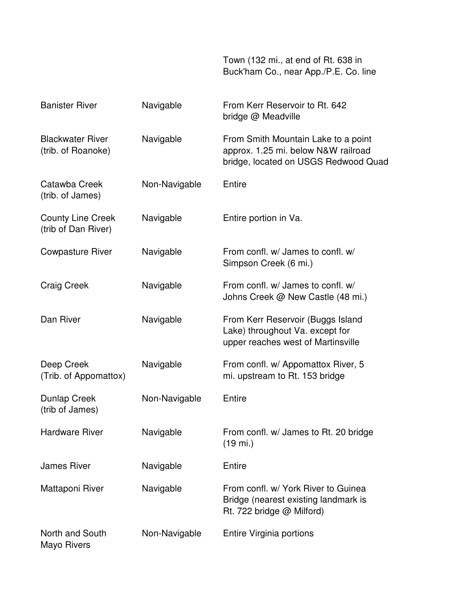Town (132 mi., at end of Rt. 638 in Buck'ham Co., near App./P.E. Co. line

| <b>Banister River</b>                           | Navigable     | From Kerr Reservoir to Rt. 642<br>bridge @ Meadville                                                               |
|-------------------------------------------------|---------------|--------------------------------------------------------------------------------------------------------------------|
| <b>Blackwater River</b><br>(trib. of Roanoke)   | Navigable     | From Smith Mountain Lake to a point<br>approx. 1.25 mi. below N&W railroad<br>bridge, located on USGS Redwood Quad |
| Catawba Creek<br>(trib. of James)               | Non-Navigable | Entire                                                                                                             |
| <b>County Line Creek</b><br>(trib of Dan River) | Navigable     | Entire portion in Va.                                                                                              |
| <b>Cowpasture River</b>                         | Navigable     | From confl. w/ James to confl. w/<br>Simpson Creek (6 mi.)                                                         |
| <b>Craig Creek</b>                              | Navigable     | From confl. w/ James to confl. w/<br>Johns Creek @ New Castle (48 mi.)                                             |
| Dan River                                       | Navigable     | From Kerr Reservoir (Buggs Island<br>Lake) throughout Va. except for<br>upper reaches west of Martinsville         |
| Deep Creek<br>(Trib. of Appomattox)             | Navigable     | From confl. w/ Appomattox River, 5<br>mi. upstream to Rt. 153 bridge                                               |
| <b>Dunlap Creek</b><br>(trib of James)          | Non-Navigable | Entire                                                                                                             |
| <b>Hardware River</b>                           | Navigable     | From confl. w/ James to Rt. 20 bridge<br>$(19 \text{ mi.})$                                                        |
| <b>James River</b>                              | Navigable     | Entire                                                                                                             |
| Mattaponi River                                 | Navigable     | From confl. w/ York River to Guinea<br>Bridge (nearest existing landmark is<br>Rt. 722 bridge @ Milford)           |
| North and South<br>Mayo Rivers                  | Non-Navigable | Entire Virginia portions                                                                                           |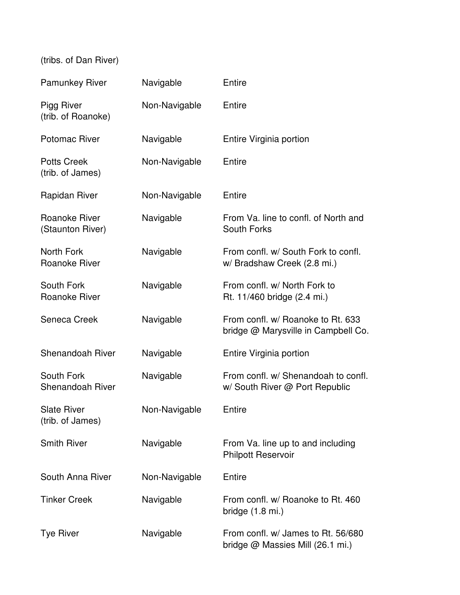(tribs. of Dan River)

| <b>Pamunkey River</b>                  | Navigable     | Entire                                                                   |
|----------------------------------------|---------------|--------------------------------------------------------------------------|
| Pigg River<br>(trib. of Roanoke)       | Non-Navigable | Entire                                                                   |
| <b>Potomac River</b>                   | Navigable     | Entire Virginia portion                                                  |
| <b>Potts Creek</b><br>(trib. of James) | Non-Navigable | Entire                                                                   |
| <b>Rapidan River</b>                   | Non-Navigable | Entire                                                                   |
| Roanoke River<br>(Staunton River)      | Navigable     | From Va. line to confl. of North and<br>South Forks                      |
| North Fork<br><b>Roanoke River</b>     | Navigable     | From confl. w/ South Fork to confl.<br>w/ Bradshaw Creek (2.8 mi.)       |
| South Fork<br><b>Roanoke River</b>     | Navigable     | From confl. w/ North Fork to<br>Rt. 11/460 bridge (2.4 mi.)              |
| Seneca Creek                           | Navigable     | From confl. w/ Roanoke to Rt. 633<br>bridge @ Marysville in Campbell Co. |
| <b>Shenandoah River</b>                | Navigable     | Entire Virginia portion                                                  |
| South Fork<br><b>Shenandoah River</b>  | Navigable     | From confl. w/ Shenandoah to confl.<br>w/ South River @ Port Republic    |
| <b>Slate River</b><br>(trib. of James) | Non-Navigable | Entire                                                                   |
| <b>Smith River</b>                     | Navigable     | From Va. line up to and including<br><b>Philpott Reservoir</b>           |
| South Anna River                       | Non-Navigable | Entire                                                                   |
| <b>Tinker Creek</b>                    | Navigable     | From confl. w/ Roanoke to Rt. 460<br>bridge $(1.8 \text{ mi.})$          |
| <b>Tye River</b>                       | Navigable     | From confl. w/ James to Rt. 56/680<br>bridge @ Massies Mill (26.1 mi.)   |